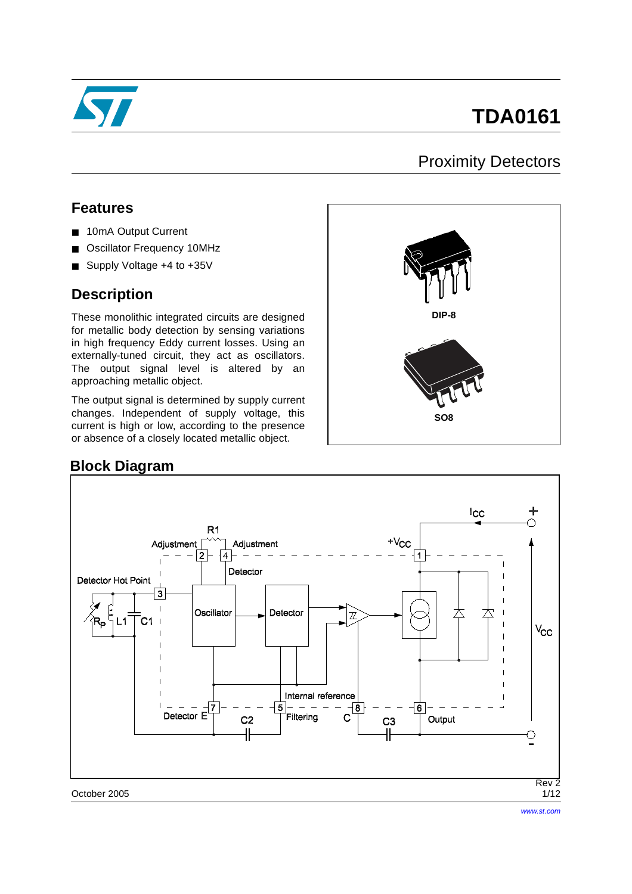

# **TDA0161**

#### Proximity Detectors

#### **Features**

- 10mA Output Current
- Oscillator Frequency 10MHz
- Supply Voltage +4 to +35V

#### **Description**

These monolithic integrated circuits are designed for metallic body detection by sensing variations in high frequency Eddy current losses. Using an externally-tuned circuit, they act as oscillators. The output signal level is altered by an approaching metallic object.

The output signal is determined by supply current changes. Independent of supply voltage, this current is high or low, according to the presence or absence of a closely located metallic object.



#### **Block Diagram**

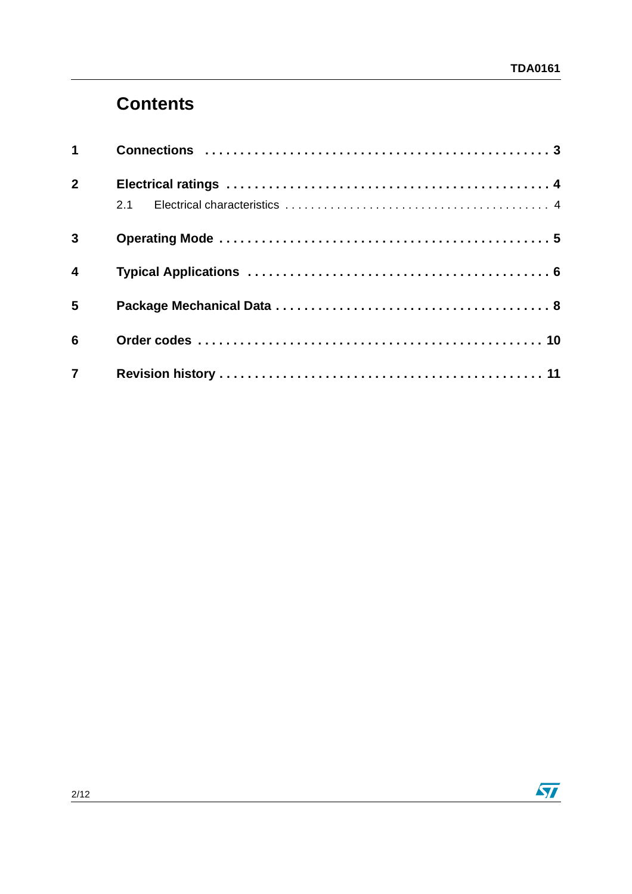### **Contents**

| 2 <sup>1</sup>          |  |
|-------------------------|--|
| $\overline{3}$          |  |
| $\overline{\mathbf{4}}$ |  |
| 5                       |  |
| 6                       |  |
| $7^{\circ}$             |  |

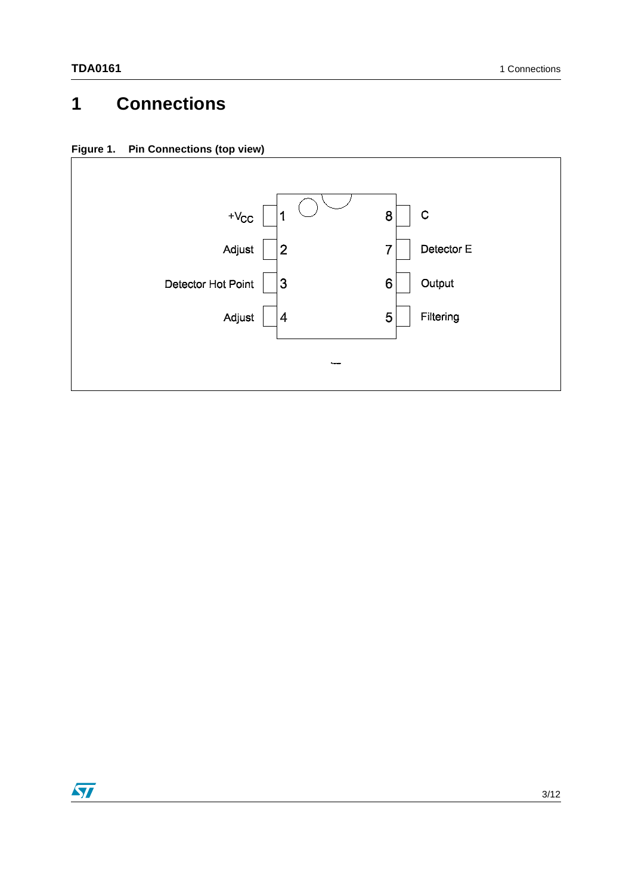## <span id="page-2-0"></span>**1 Connections**

**Figure 1. Pin Connections (top view)**



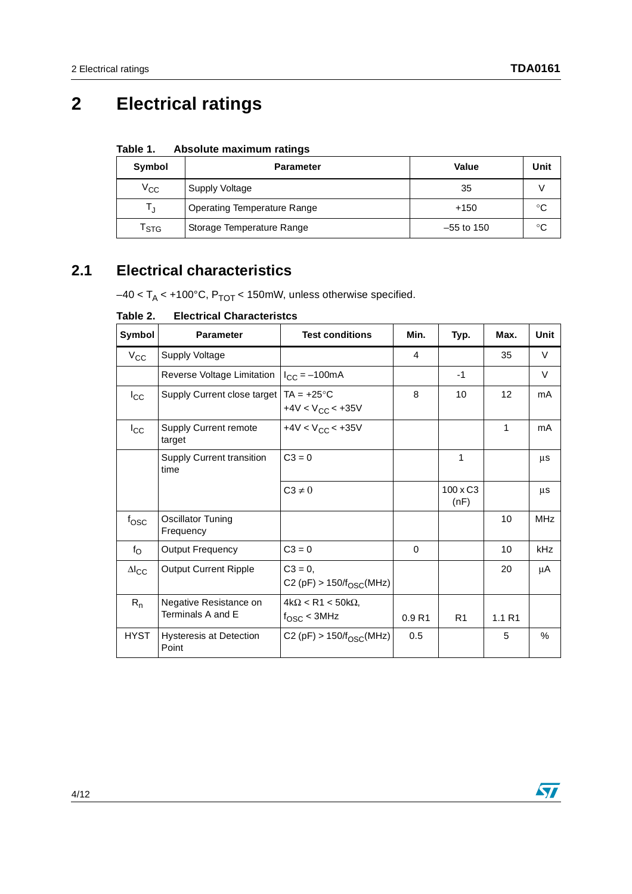## <span id="page-3-0"></span>**2 Electrical ratings**

| Table 1. | Absolute maximum ratings |  |
|----------|--------------------------|--|
|          |                          |  |

| Symbol           | <b>Parameter</b>                   | Value        | Unit |
|------------------|------------------------------------|--------------|------|
| $V_{CC}$         | Supply Voltage                     | 35           |      |
| LJ.              | <b>Operating Temperature Range</b> | $+150$       | °C   |
| <sup>I</sup> STG | Storage Temperature Range          | $-55$ to 150 | °C   |

#### <span id="page-3-1"></span>**2.1 Electrical characteristics**

 $-40 < T_A < +100^{\circ}$ C, P<sub>TOT</sub> < 150mW, unless otherwise specified.

#### **Table 2. Electrical Characteristcs**

| Symbol              | <b>Parameter</b>                                | <b>Test conditions</b>                              | Min.     | Typ.                    | Max.   | Unit       |
|---------------------|-------------------------------------------------|-----------------------------------------------------|----------|-------------------------|--------|------------|
| $V_{\rm CC}$        | Supply Voltage                                  |                                                     | 4        |                         | 35     | V          |
|                     | Reverse Voltage Limitation                      | $I_{CC} = -100mA$                                   |          | $-1$                    |        | $\vee$     |
| $I_{\rm CC}$        | Supply Current close target $TA = +25^{\circ}C$ | +4V < $V_{CC}$ < +35V                               | 8        | 10                      | 12     | mA         |
| $I_{\rm CC}$        | <b>Supply Current remote</b><br>target          | +4V < $V_{CC}$ < +35V                               |          |                         | 1      | mA         |
|                     | <b>Supply Current transition</b><br>time        | $C3 = 0$                                            |          | 1                       |        | μs         |
|                     |                                                 | $C3 \neq 0$                                         |          | $100 \times C3$<br>(nF) |        | μs         |
| $f_{\rm{OSC}}$      | Oscillator Tuning<br>Frequency                  |                                                     |          |                         | 10     | <b>MHz</b> |
| $f_{\rm O}$         | Output Frequency                                | $C3 = 0$                                            | $\Omega$ |                         | 10     | kHz        |
| $\Delta I_{\rm CC}$ | <b>Output Current Ripple</b>                    | $C3 = 0,$<br>$C2(pF) > 150/f_{OSC}(MHz)$            |          |                         | 20     | μA         |
| $R_{n}$             | Negative Resistance on<br>Terminals A and E     | $4k\Omega < R1 < 50k\Omega$<br>$f_{\rm OSC}$ < 3MHz | 0.9R1    | R <sub>1</sub>          | 1.1 R1 |            |
| <b>HYST</b>         | <b>Hysteresis at Detection</b><br>Point         | $C2$ (pF) > 150/ $f_{OSC}$ (MHz)                    | 0.5      |                         | 5      | $\%$       |

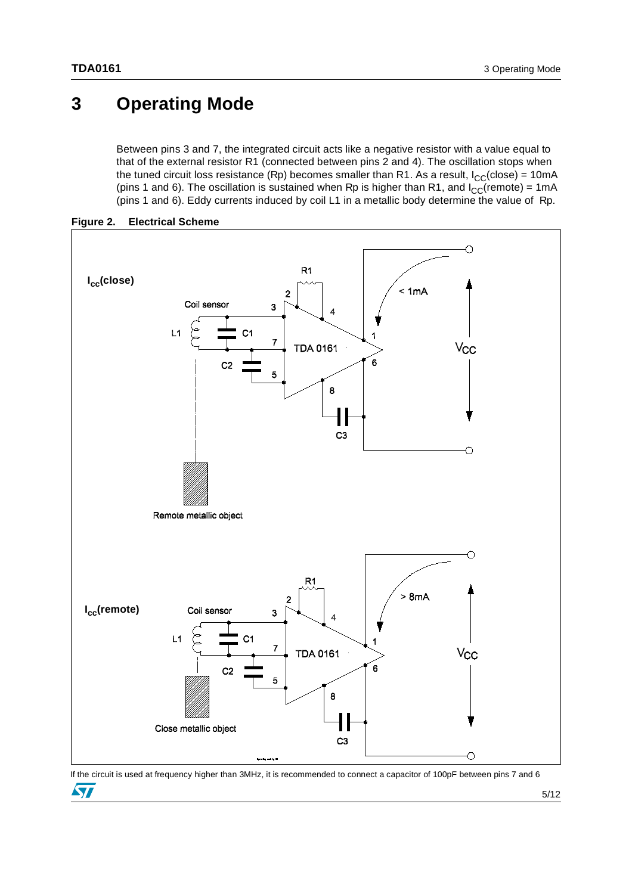### <span id="page-4-0"></span>**3 Operating Mode**

Between pins 3 and 7, the integrated circuit acts like a negative resistor with a value equal to that of the external resistor R1 (connected between pins 2 and 4). The oscillation stops when the tuned circuit loss resistance (Rp) becomes smaller than R1. As a result,  $I_{CC}(close) = 10mA$ (pins 1 and 6). The oscillation is sustained when Rp is higher than R1, and  $I_{CC}$ (remote) = 1mA (pins 1 and 6). Eddy currents induced by coil L1 in a metallic body determine the value of Rp.



#### **Figure 2. Electrical Scheme**

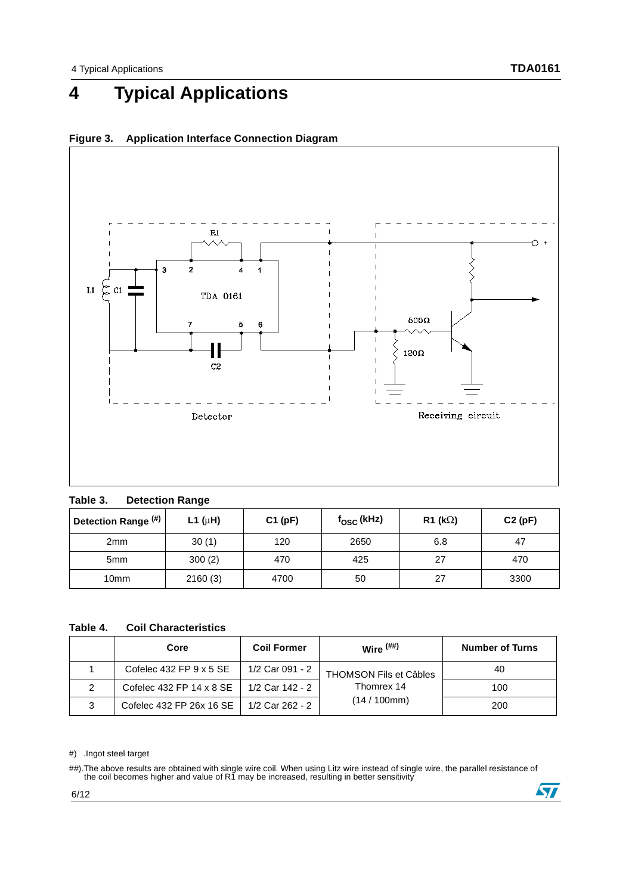# <span id="page-5-0"></span>**4 Typical Applications**



#### **Figure 3. Application Interface Connection Diagram**

**Table 3. Detection Range**

| Detection Range <sup>(#)</sup> | L1 $(\mu H)$ | C1(pF) | $f_{\rm OSC}$ (kHz) | R1 ( $k\Omega$ ) | C2(pF) |
|--------------------------------|--------------|--------|---------------------|------------------|--------|
| 2 <sub>mm</sub>                | 30(1)        | 120    | 2650                | 6.8              | 47     |
| 5 <sub>mm</sub>                | 300(2)       | 470    | 425                 | 27               | 470    |
| 10 <sub>mm</sub>               | 2160(3)      | 4700   | 50                  | 27               | 3300   |

#### **Table 4. Coil Characteristics**

|   | Core                              | <b>Coil Former</b> | Wire $^{(\# \#)}$             | <b>Number of Turns</b> |
|---|-----------------------------------|--------------------|-------------------------------|------------------------|
|   | Cofelec 432 FP $9 \times 5$ SE    | 1/2 Car 091 - 2    | <b>THOMSON Fils et Câbles</b> | 40                     |
|   | Cofelec $432$ FP $14 \times 8$ SE | 1/2 Car 142 - 2    | Thomrex 14                    | 100                    |
| 3 | Cofelec 432 FP 26x 16 SE          | 1/2 Car 262 - 2    | (14 / 100mm)                  | 200                    |

#) .Ingot steel target

##).The above results are obtained with single wire coil. When using Litz wire instead of single wire, the parallel resistance of the coil becomes higher and value of R1 may be increased, resulting in better sensitivity

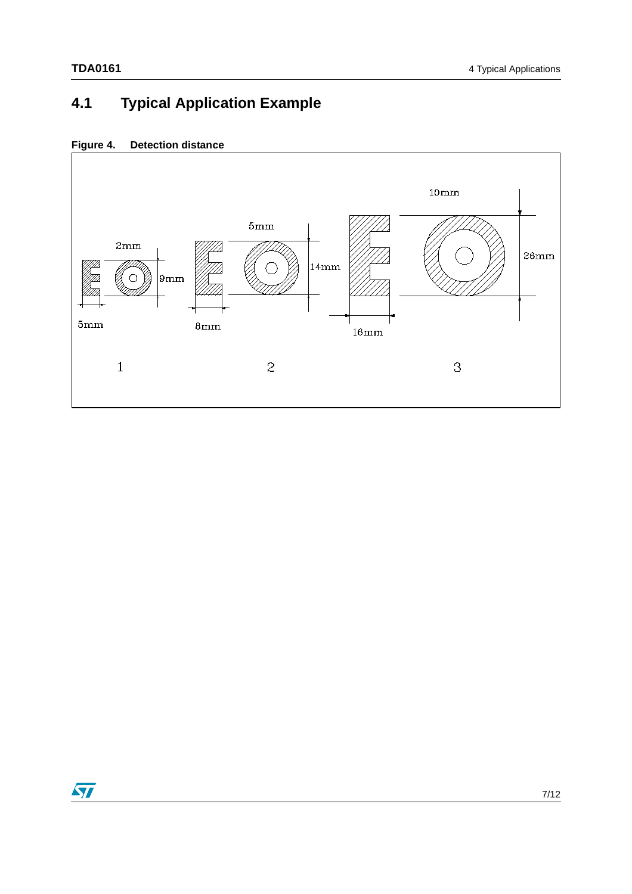### **4.1 Typical Application Example**

| Figure 4. | <b>Detection distance</b> |  |
|-----------|---------------------------|--|
|           |                           |  |



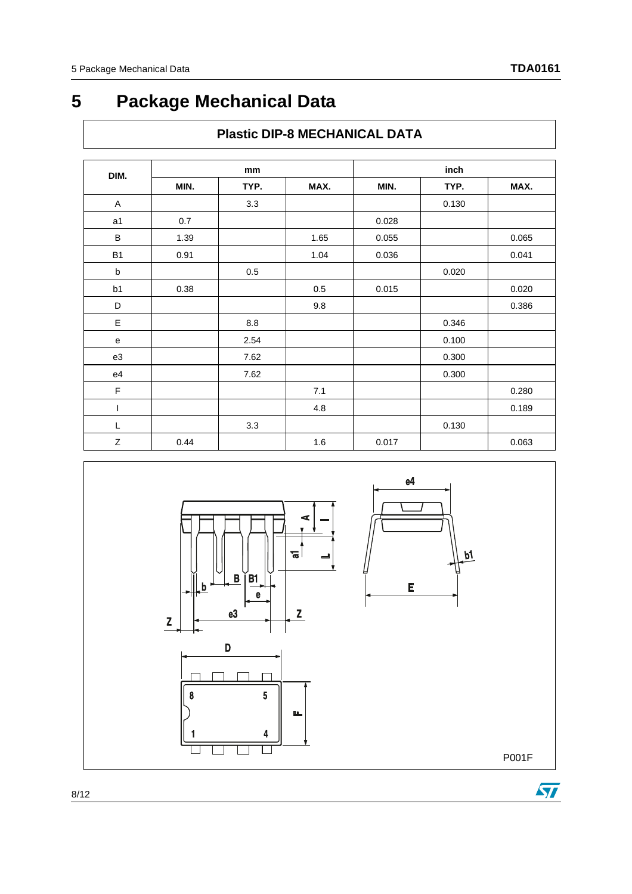# <span id="page-7-0"></span>**5 Package Mechanical Data**

| DIM.           |      | mm   |      |       | inch  |       |
|----------------|------|------|------|-------|-------|-------|
|                | MIN. | TYP. | MAX. | MIN.  | TYP.  | MAX.  |
| Α              |      | 3.3  |      |       | 0.130 |       |
| a <sub>1</sub> | 0.7  |      |      | 0.028 |       |       |
| B              | 1.39 |      | 1.65 | 0.055 |       | 0.065 |
| <b>B1</b>      | 0.91 |      | 1.04 | 0.036 |       | 0.041 |
| b              |      | 0.5  |      |       | 0.020 |       |
| b1             | 0.38 |      | 0.5  | 0.015 |       | 0.020 |
| D              |      |      | 9.8  |       |       | 0.386 |
| $\mathsf E$    |      | 8.8  |      |       | 0.346 |       |
| e              |      | 2.54 |      |       | 0.100 |       |
| e3             |      | 7.62 |      |       | 0.300 |       |
| e4             |      | 7.62 |      |       | 0.300 |       |
| $\mathsf F$    |      |      | 7.1  |       |       | 0.280 |
| I              |      |      | 4.8  |       |       | 0.189 |
| L              |      | 3.3  |      |       | 0.130 |       |
| Z              | 0.44 |      | 1.6  | 0.017 |       | 0.063 |

**Plastic DIP-8 MECHANICAL DATA**

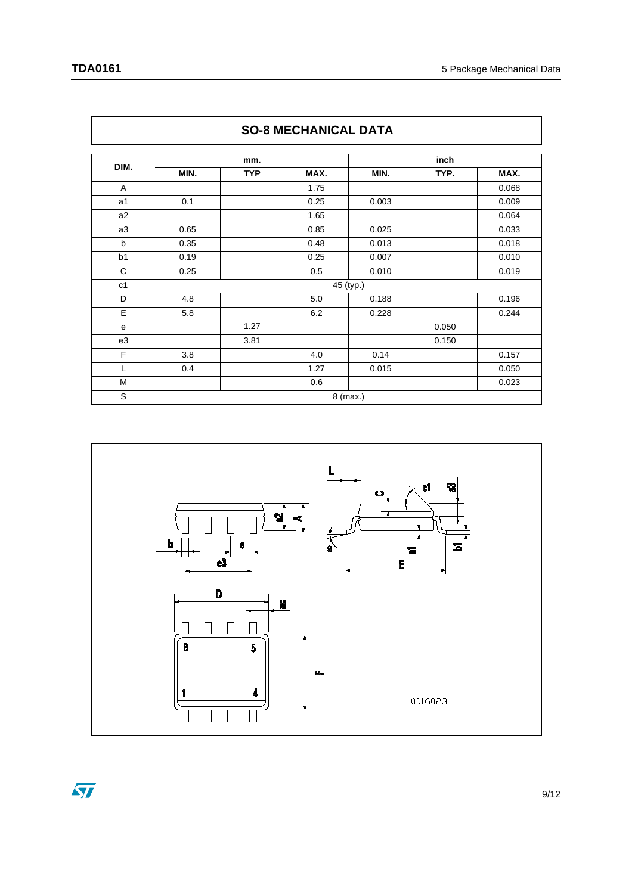٦

|                | <b>SO-8 MECHANICAL DATA</b> |            |      |           |       |       |
|----------------|-----------------------------|------------|------|-----------|-------|-------|
|                |                             | mm.        |      |           | inch  |       |
| DIM.           | MIN.                        | <b>TYP</b> | MAX. | MIN.      | TYP.  | MAX.  |
| A              |                             |            | 1.75 |           |       | 0.068 |
| a1             | 0.1                         |            | 0.25 | 0.003     |       | 0.009 |
| a2             |                             |            | 1.65 |           |       | 0.064 |
| a <sub>3</sub> | 0.65                        |            | 0.85 | 0.025     |       | 0.033 |
| $\mathsf{b}$   | 0.35                        |            | 0.48 | 0.013     |       | 0.018 |
| b <sub>1</sub> | 0.19                        |            | 0.25 | 0.007     |       | 0.010 |
| $\mathsf C$    | 0.25                        |            | 0.5  | 0.010     |       | 0.019 |
| c1             |                             |            |      | 45 (typ.) |       |       |
| D              | 4.8                         |            | 5.0  | 0.188     |       | 0.196 |
| E              | 5.8                         |            | 6.2  | 0.228     |       | 0.244 |
| e              |                             | 1.27       |      |           | 0.050 |       |
| e3             |                             | 3.81       |      |           | 0.150 |       |
| F              | 3.8                         |            | 4.0  | 0.14      |       | 0.157 |
| L              | 0.4                         |            | 1.27 | 0.015     |       | 0.050 |
| M              |                             |            | 0.6  |           |       | 0.023 |
| S              |                             | 8 (max.)   |      |           |       |       |



 $\sqrt{2}$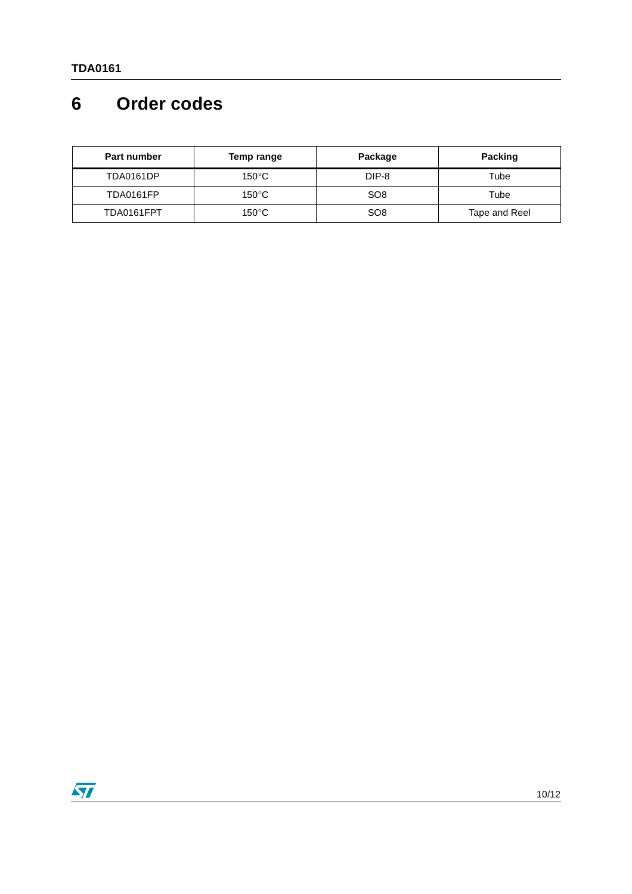## <span id="page-9-0"></span>**6 Order codes**

| <b>Part number</b> | Temp range      | Package         | <b>Packing</b> |
|--------------------|-----------------|-----------------|----------------|
| TDA0161DP          | $150^{\circ}$ C | DIP-8           | Tube           |
| TDA0161FP          | $150^{\circ}$ C | SO <sub>8</sub> | Tube           |
| TDA0161FPT         | $150^{\circ}$ C | SO <sub>8</sub> | Tape and Reel  |

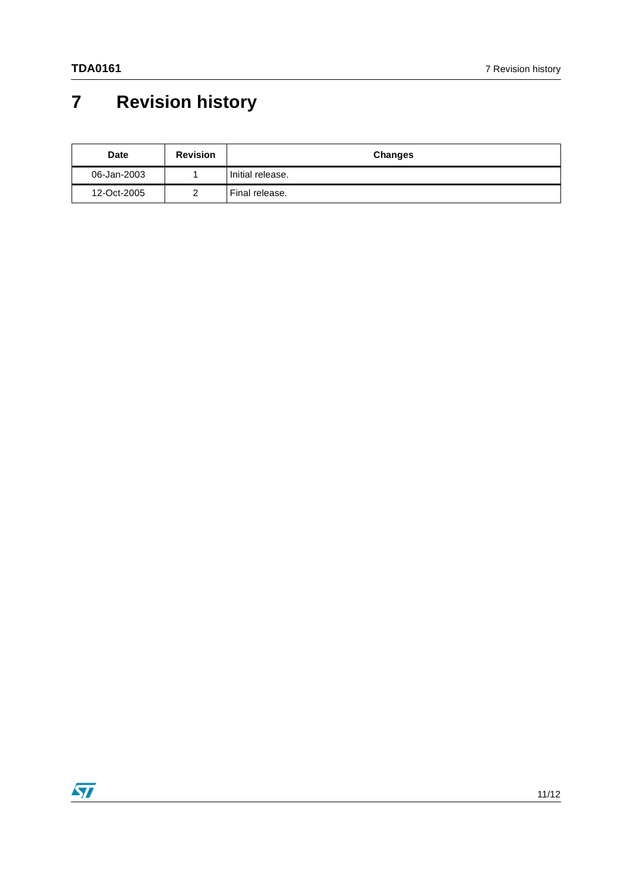# <span id="page-10-0"></span>**7 Revision history**

| <b>Date</b> | <b>Revision</b> | <b>Changes</b>   |
|-------------|-----------------|------------------|
| 06-Jan-2003 |                 | Initial release. |
| 12-Oct-2005 |                 | Final release.   |